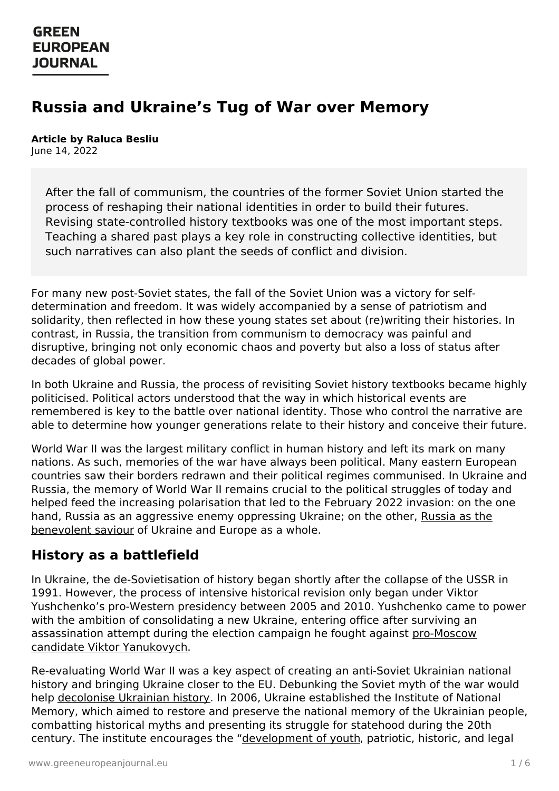# **Russia and Ukraine's Tug of War over Memory**

#### **Article by Raluca Besliu** June 14, 2022

After the fall of communism, the countries of the former Soviet Union started the process of reshaping their national identities in order to build their futures. Revising state-controlled history textbooks was one of the most important steps. Teaching a shared past plays a key role in constructing collective identities, but such narratives can also plant the seeds of conflict and division.

For many new post-Soviet states, the fall of the Soviet Union was a victory for selfdetermination and freedom. It was widely accompanied by a sense of patriotism and solidarity, then reflected in how these young states set about (re)writing their histories. In contrast, in Russia, the transition from communism to democracy was painful and disruptive, bringing not only economic chaos and poverty but also a loss of status after decades of global power.

In both Ukraine and Russia, the process of revisiting Soviet history textbooks became highly politicised. Political actors understood that the way in which historical events are remembered is key to the battle over national identity. Those who control the narrative are able to determine how younger generations relate to their history and conceive their future.

World War II was the largest military conflict in human history and left its mark on many nations. As such, memories of the war have always been political. Many eastern European countries saw their borders redrawn and their political regimes communised. In Ukraine and Russia, the memory of World War II remains crucial to the political struggles of today and helped feed the increasing polarisation that led to the February 2022 invasion: on the one hand, Russia as an aggressive enemy [oppressing](https://www.greeneuropeanjournal.eu/the-return-of-the-brezhnev-doctrine/) Ukraine; on the other, Russia as the benevolent saviour of Ukraine and Europe as a whole.

#### **History as a battlefield**

In Ukraine, the de-Sovietisation of history began shortly after the collapse of the USSR in 1991. However, the process of intensive historical revision only began under Viktor Yushchenko's pro-Western presidency between 2005 and 2010. Yushchenko came to power with the ambition of consolidating a new Ukraine, entering office after surviving an [assassination](https://www.reuters.com/article/us-russia-politics-navalny-mystery-factb-idUSKBN25U13P) attempt during the election campaign he fought against pro-Moscow candidate Viktor Yanukovych.

[Re-evaluating](https://www.greeneuropeanjournal.eu) World War II was a key aspect of creating an anti-Soviet Ukrainian national history and bringing Ukraine closer to the EU. Debunking the Soviet myth of the war would help [decolonise](https://www.tandfonline.com/doi/abs/10.1080/00085006.2012.11092718) Ukrainian history. In 2006, Ukraine established the Institute of National Memory, which aimed to restore and preserve the national memory of the Ukrainian people, combatting historical myths and presenting its struggle for statehood during the 20th century. The institute encourages the ["development](https://www.researchgate.net/publication/229186986_War_of_textbooks_History_education_in_Russia_and_Ukraine) of youth, patriotic, historic, and legal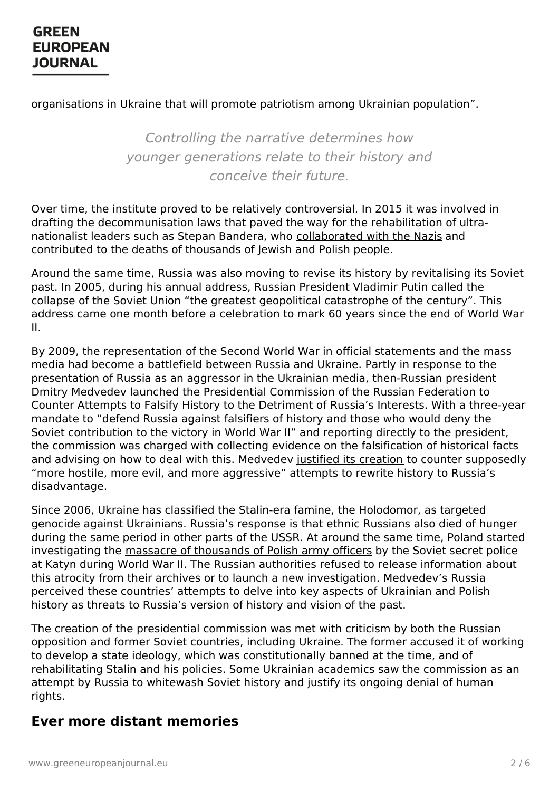#### organisations in Ukraine that will promote patriotism among Ukrainian population".

Controlling the narrative determines how younger generations relate to their history and conceive their future.

Over time, the institute proved to be relatively controversial. In 2015 it was involved in drafting the decommunisation laws that paved the way for the rehabilitation of ultranationalist leaders such as Stepan Bandera, who [collaborated](https://www.euronews.com/my-europe/2021/03/19/in-ukraine-stepan-bandera-s-legacy-becomes-a-political-football-again) with the Nazis and contributed to the deaths of thousands of Jewish and Polish people.

Around the same time, Russia was also moving to revise its history by revitalising its Soviet past. In 2005, during his annual address, Russian President Vladimir Putin called the collapse of the Soviet Union "the greatest geopolitical catastrophe of the century". This address came one month before a [celebration](https://www.nbcnews.com/id/wbna7632057) to mark 60 years since the end of World War II.

By 2009, the representation of the Second World War in official statements and the mass media had become a battlefield between Russia and Ukraine. Partly in response to the presentation of Russia as an aggressor in the Ukrainian media, then-Russian president Dmitry Medvedev launched the Presidential Commission of the Russian Federation to Counter Attempts to Falsify History to the Detriment of Russia's Interests. With a three-year mandate to "defend Russia against falsifiers of history and those who would deny the Soviet contribution to the victory in World War II" and reporting directly to the president, the commission was charged with collecting evidence on the falsification of historical facts and advising on how to deal with this. Medvedev justified its [creation](https://www.wsj.com/articles/SB124277297306236553) to counter supposedly "more hostile, more evil, and more aggressive" attempts to rewrite history to Russia's disadvantage.

Since 2006, Ukraine has classified the Stalin-era famine, the Holodomor, as targeted genocide against Ukrainians. Russia's response is that ethnic Russians also died of hunger during the same period in other parts of the USSR. At around the same time, Poland started investigating the massacre of [thousands](https://ipn.gov.pl/en/news/4041,The-IPNs-prosecutors-on-the-investigation-into-the-Katyn-Massacre.html) of Polish army officers by the Soviet secret police at Katyn during World War II. The Russian authorities refused to release information about this atrocity from their archives or to launch a new investigation. Medvedev's Russia perceived these countries' attempts to delve into key aspects of Ukrainian and Polish history as threats to Russia's version of history and vision of the past.

The creation of the presidential commission was met with criticism by both the Russian opposition and former Soviet countries, including Ukraine. The former accused it of working to develop a state ideology, which was constitutionally banned at the time, and of [rehabilitating](https://www.greeneuropeanjournal.eu) Stalin and his policies. Some Ukrainian academics saw the commission as an attempt by Russia to whitewash Soviet history and justify its ongoing denial of human rights.

#### **Ever more distant memories**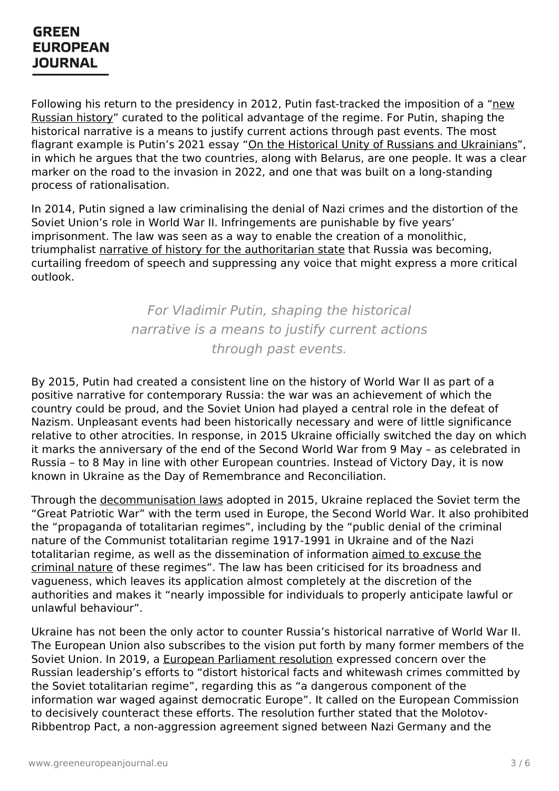Following his return to the presidency in 2012, Putin [fast-tracked](https://www.opendemocracy.net/en/odr/education-in-putin-s-russia-isn-t-about-history-but-scripture/) the imposition of a "new Russian history" curated to the political advantage of the regime. For Putin, shaping the historical narrative is a means to justify current actions through past events. The most flagrant example is Putin's 2021 essay "On the Historical Unity of Russians and [Ukrainians](http://en.kremlin.ru/events/president/news/66181)", in which he argues that the two countries, along with Belarus, are one people. It was a clear marker on the road to the invasion in 2022, and one that was built on a long-standing process of rationalisation.

In 2014, Putin signed a law criminalising the denial of Nazi crimes and the distortion of the Soviet Union's role in World War II. Infringements are punishable by five years' imprisonment. The law was seen as a way to enable the creation of a monolithic, triumphalist narrative of history for the [authoritarian](https://rest.neptune-prod.its.unimelb.edu.au/server/api/core/bitstreams/c98e17d5-4619-54ab-8923-425792d1002c/content) state that Russia was becoming, curtailing freedom of speech and suppressing any voice that might express a more critical outlook.

> For Vladimir Putin, shaping the historical narrative is a means to justify current actions through past events.

By 2015, Putin had created a consistent line on the history of World War II as part of a positive narrative for contemporary Russia: the war was an achievement of which the country could be proud, and the Soviet Union had played a central role in the defeat of Nazism. Unpleasant events had been historically necessary and were of little significance relative to other atrocities. In response, in 2015 Ukraine officially switched the day on which it marks the anniversary of the end of the Second World War from 9 May – as celebrated in Russia – to 8 May in line with other European countries. Instead of Victory Day, it is now known in Ukraine as the Day of Remembrance and Reconciliation.

Through the [decommunisation](https://biblio.ugent.be/publication/8707965/file/8711565) laws adopted in 2015, Ukraine replaced the Soviet term the "Great Patriotic War" with the term used in Europe, the Second World War. It also prohibited the "propaganda of totalitarian regimes", including by the "public denial of the criminal nature of the Communist totalitarian regime 1917-1991 in Ukraine and of the Nazi totalitarian regime, as well as the [dissemination](https://www.venice.coe.int/webforms/documents/default.aspx?pdffile=CDL-AD(2015)041-e) of information aimed to excuse the criminal nature of these regimes". The law has been criticised for its broadness and vagueness, which leaves its application almost completely at the discretion of the authorities and makes it "nearly impossible for individuals to properly anticipate lawful or unlawful behaviour".

Ukraine has not been the only actor to counter Russia's historical narrative of World War II. The European Union also subscribes to the vision put forth by many former members of the Soviet [Union.](https://www.greeneuropeanjournal.eu) In 2019, a European [Parliament](https://www.europarl.europa.eu/doceo/document/B-9-2019-0098_EN.html) resolution expressed concern over the Russian leadership's efforts to "distort historical facts and whitewash crimes committed by the Soviet totalitarian regime", regarding this as "a dangerous component of the information war waged against democratic Europe". It called on the European Commission to decisively counteract these efforts. The resolution further stated that the Molotov-Ribbentrop Pact, a non-aggression agreement signed between Nazi Germany and the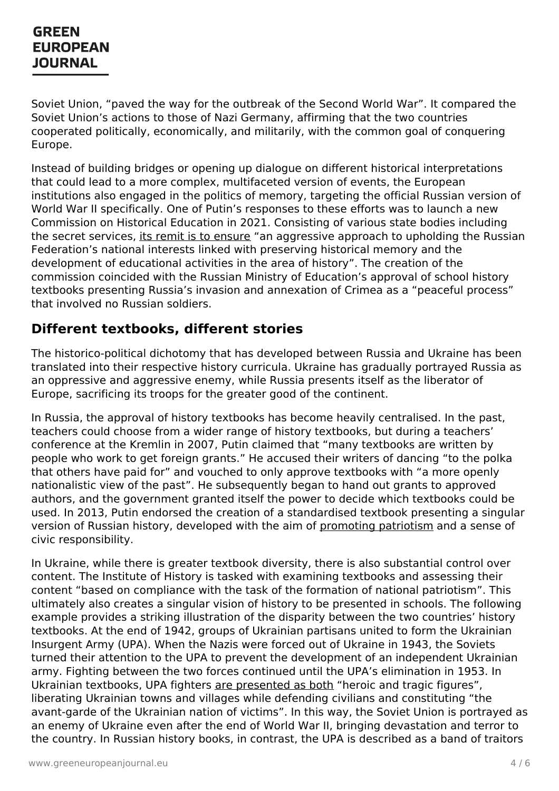Soviet Union, "paved the way for the outbreak of the Second World War". It compared the Soviet Union's actions to those of Nazi Germany, affirming that the two countries cooperated politically, economically, and militarily, with the common goal of conquering Europe.

Instead of building bridges or opening up dialogue on different historical interpretations that could lead to a more complex, multifaceted version of events, the European institutions also engaged in the politics of memory, targeting the official Russian version of World War II specifically. One of Putin's responses to these efforts was to launch a new Commission on Historical Education in 2021. Consisting of various state bodies including the secret services, its remit is to [ensure](https://khpg.org/en/1608809430) "an aggressive approach to upholding the Russian Federation's national interests linked with preserving historical memory and the development of educational activities in the area of history". The creation of the commission coincided with the Russian Ministry of Education's approval of school history textbooks presenting Russia's invasion and annexation of Crimea as a "peaceful process" that involved no Russian soldiers.

#### **Different textbooks, different stories**

The historico-political dichotomy that has developed between Russia and Ukraine has been translated into their respective history curricula. Ukraine has gradually portrayed Russia as an oppressive and aggressive enemy, while Russia presents itself as the liberator of Europe, sacrificing its troops for the greater good of the continent.

In Russia, the approval of history textbooks has become heavily centralised. In the past, teachers could choose from a wider range of history textbooks, but during a teachers' conference at the Kremlin in 2007, Putin claimed that "many textbooks are written by people who work to get foreign grants." He accused their writers of dancing "to the polka that others have paid for" and vouched to only approve textbooks with "a more openly nationalistic view of the past". He subsequently began to hand out grants to approved authors, and the government granted itself the power to decide which textbooks could be used. In 2013, Putin endorsed the creation of a standardised textbook presenting a singular version of Russian history, developed with the aim of [promoting](https://www.eurozine.com/rewriting-russian-history/) patriotism and a sense of civic responsibility.

In Ukraine, while there is greater textbook diversity, there is also substantial control over content. The Institute of History is tasked with examining textbooks and assessing their content "based on compliance with the task of the formation of national patriotism". This ultimately also creates a singular vision of history to be presented in schools. The following example provides a striking illustration of the disparity between the two countries' history textbooks. At the end of 1942, groups of Ukrainian partisans united to form the Ukrainian Insurgent Army (UPA). When the Nazis were forced out of Ukraine in 1943, the Soviets turned their [attention](https://www.greeneuropeanjournal.eu) to the UPA to prevent the development of an independent Ukrainian army. Fighting between the two forces continued until the UPA's elimination in 1953. In Ukrainian textbooks, UPA fighters are [presented](https://www.tandfonline.com/doi/abs/10.1080/00085006.2012.11092718) as both "heroic and tragic figures", liberating Ukrainian towns and villages while defending civilians and constituting "the avant-garde of the Ukrainian nation of victims". In this way, the Soviet Union is portrayed as an enemy of Ukraine even after the end of World War II, bringing devastation and terror to the country. In Russian history books, in contrast, the UPA is described as a band of traitors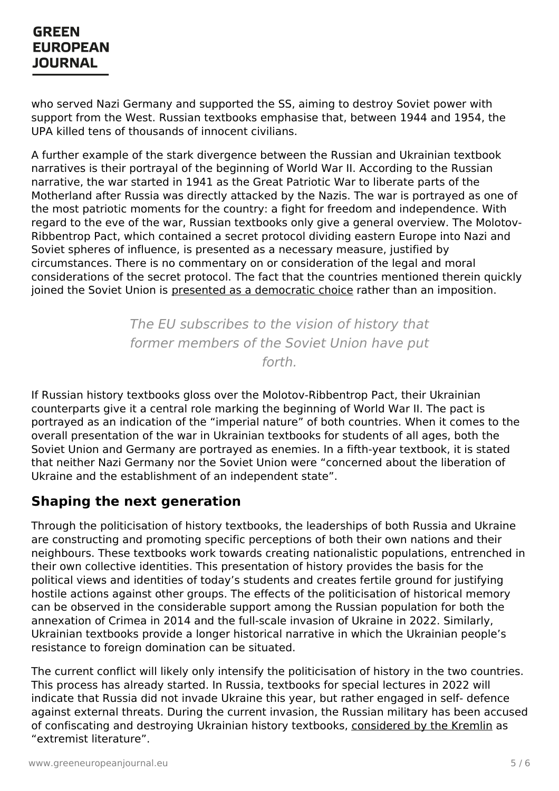who served Nazi Germany and supported the SS, aiming to destroy Soviet power with support from the West. Russian textbooks emphasise that, between 1944 and 1954, the UPA killed tens of thousands of innocent civilians.

A further example of the stark divergence between the Russian and Ukrainian textbook narratives is their portrayal of the beginning of World War II. According to the Russian narrative, the war started in 1941 as the Great Patriotic War to liberate parts of the Motherland after Russia was directly attacked by the Nazis. The war is portrayed as one of the most patriotic moments for the country: a fight for freedom and independence. With regard to the eve of the war, Russian textbooks only give a general overview. The Molotov-Ribbentrop Pact, which contained a secret protocol dividing eastern Europe into Nazi and Soviet spheres of influence, is presented as a necessary measure, justified by circumstances. There is no commentary on or consideration of the legal and moral considerations of the secret protocol. The fact that the countries mentioned therein quickly joined the Soviet Union is presented as a [democratic](https://www.academia.edu/37778498/Memory_of_World_War_II_in_contemporary_Russian_school_history_textbooks) choice rather than an imposition.

> The EU subscribes to the vision of history that former members of the Soviet Union have put forth.

If Russian history textbooks gloss over the Molotov-Ribbentrop Pact, their Ukrainian counterparts give it a central role marking the beginning of World War II. The pact is portrayed as an indication of the "imperial nature" of both countries. When it comes to the overall presentation of the war in Ukrainian textbooks for students of all ages, both the Soviet Union and Germany are portrayed as enemies. In a fifth-year textbook, it is stated that neither Nazi Germany nor the Soviet Union were "concerned about the liberation of Ukraine and the establishment of an independent state".

#### **Shaping the next generation**

Through the politicisation of history textbooks, the leaderships of both Russia and Ukraine are constructing and promoting specific perceptions of both their own nations and their neighbours. These textbooks work towards creating nationalistic populations, entrenched in their own collective identities. This presentation of history provides the basis for the political views and identities of today's students and creates fertile ground for justifying hostile actions against other groups. The effects of the politicisation of historical memory can be observed in the considerable support among the Russian population for both the annexation of Crimea in 2014 and the full-scale invasion of Ukraine in 2022. Similarly, Ukrainian textbooks provide a longer historical narrative in which the Ukrainian people's resistance to foreign domination can be situated.

The [current](https://www.greeneuropeanjournal.eu) conflict will likely only intensify the politicisation of history in the two countries. This process has already started. In Russia, textbooks for special lectures in 2022 will indicate that Russia did not invade Ukraine this year, but rather engaged in self- defence against external threats. During the current invasion, the Russian military has been accused of confiscating and destroying Ukrainian history textbooks, [considered](https://www.euractiv.com/section/europe-s-east/opinion/russia-burns-our-books-hoping-to-destroy-our-nation/) by the Kremlin as "extremist literature".